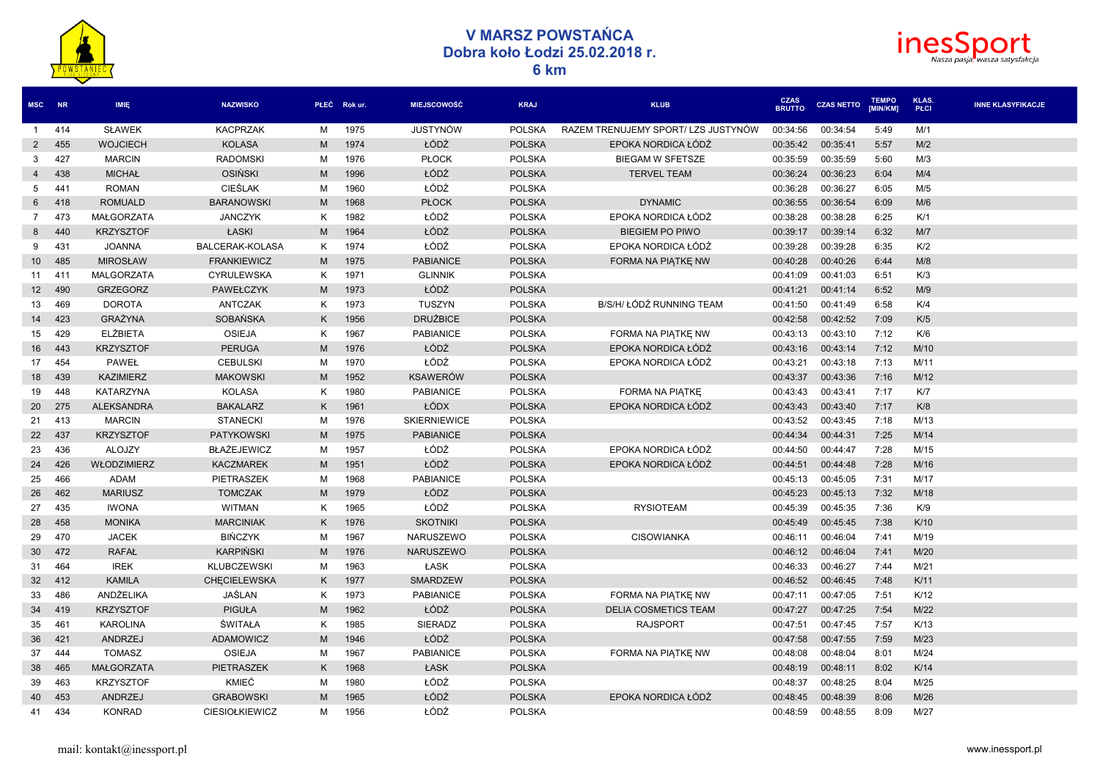

## **V MARSZ POWSTAŃCA Dobra koło Łodzi 25.02.2018 r. 6 km**



| MSC NR          |        | IMIE.             | <b>NAZWISKO</b>       |   | PŁEĆ Rokur. | <b>MIEJSCOWOŚĆ</b>  | <b>KRAJ</b>   | <b>KLUB</b>                        | <b>CZAS<br/>BRUTTO</b> | <b>CZAS NETTO</b> | <b>TEMPO</b><br><b>IMIN/KM1</b> | KLAS.<br>PŁCI | <b>INNE KLASYFIKACJE</b> |
|-----------------|--------|-------------------|-----------------------|---|-------------|---------------------|---------------|------------------------------------|------------------------|-------------------|---------------------------------|---------------|--------------------------|
| -1              | 414    | <b>SŁAWEK</b>     | <b>KACPRZAK</b>       | М | 1975        | <b>JUSTYNÓW</b>     | <b>POLSKA</b> | RAZEM TRENUJEMY SPORT/LZS JUSTYNÓW | 00:34:56               | 00:34:54          | 5:49                            | M/1           |                          |
| 2               | 455    | <b>WOJCIECH</b>   | <b>KOLASA</b>         | M | 1974        | ŁÓDŹ                | <b>POLSKA</b> | EPOKA NORDICA ŁÓDŹ                 | 00:35:42               | 00:35:41          | 5:57                            | M/2           |                          |
| 3               | 427    | <b>MARCIN</b>     | <b>RADOMSKI</b>       | м | 1976        | <b>PŁOCK</b>        | <b>POLSKA</b> | <b>BIEGAM W SFETSZE</b>            | 00:35:59               | 00:35:59          | 5:60                            | M/3           |                          |
| $\overline{4}$  | 438    | <b>MICHAŁ</b>     | <b>OSIŃSKI</b>        | M | 1996        | ŁÓDŹ                | <b>POLSKA</b> | <b>TERVEL TEAM</b>                 | 00:36:24               | 00:36:23          | 6:04                            | M/4           |                          |
| $5^{\circ}$     | 441    | <b>ROMAN</b>      | <b>CIEŚLAK</b>        | М | 1960        | ŁÓDŹ                | <b>POLSKA</b> |                                    | 00:36:28               | 00:36:27          | 6:05                            | M/5           |                          |
| 6               | 418    | <b>ROMUALD</b>    | <b>BARANOWSKI</b>     | M | 1968        | <b>PŁOCK</b>        | <b>POLSKA</b> | <b>DYNAMIC</b>                     | 00:36:55               | 00:36:54          | 6:09                            | M/6           |                          |
| $7\overline{ }$ | 473    | <b>MAŁGORZATA</b> | <b>JANCZYK</b>        | Κ | 1982        | ŁÓDŹ                | <b>POLSKA</b> | EPOKA NORDICA ŁÓDŹ                 | 00:38:28               | 00:38:28          | 6:25                            | K/1           |                          |
| 8               | 440    | <b>KRZYSZTOF</b>  | ŁASKI                 | M | 1964        | ŁÓDŹ                | <b>POLSKA</b> | <b>BIEGIEM PO PIWO</b>             | 00:39:17               | 00:39:14          | 6:32                            | M/7           |                          |
| 9               | 431    | <b>JOANNA</b>     | BALCERAK-KOLASA       | Κ | 1974        | ŁÓDŹ                | <b>POLSKA</b> | EPOKA NORDICA ŁÓDŹ                 | 00:39:28               | 00:39:28          | 6:35                            | K/2           |                          |
|                 | 10 485 | <b>MIROSŁAW</b>   | <b>FRANKIEWICZ</b>    | M | 1975        | <b>PABIANICE</b>    | <b>POLSKA</b> | FORMA NA PIATKE NW                 | 00:40:28               | 00:40:26          | 6:44                            | M/8           |                          |
| 11              | 411    | <b>MALGORZATA</b> | <b>CYRULEWSKA</b>     | K | 1971        | <b>GLINNIK</b>      | <b>POLSKA</b> |                                    | 00:41:09               | 00:41:03          | 6:51                            | K/3           |                          |
| 12              | 490    | <b>GRZEGORZ</b>   | <b>PAWEŁCZYK</b>      | M | 1973        | ŁÓDŹ                | <b>POLSKA</b> |                                    | 00:41:21               | 00:41:14          | 6:52                            | M/9           |                          |
| 13              | 469    | <b>DOROTA</b>     | ANTCZAK               | K | 1973        | TUSZYN              | <b>POLSKA</b> | B/S/H/ ŁÓDŹ RUNNING TEAM           | 00:41:50               | 00:41:49          | 6:58                            | K/4           |                          |
| 14              | 423    | <b>GRAŻYNA</b>    | SOBAŃSKA              | K | 1956        | <b>DRUŻBICE</b>     | <b>POLSKA</b> |                                    | 00:42:58               | 00:42:52          | 7:09                            | K/5           |                          |
| 15              | 429    | <b>ELŻBIETA</b>   | <b>OSIEJA</b>         | K | 1967        | <b>PABIANICE</b>    | <b>POLSKA</b> | FORMA NA PIATKE NW                 | 00:43:13               | 00:43:10          | 7:12                            | K/6           |                          |
| 16              | 443    | <b>KRZYSZTOF</b>  | <b>PERUGA</b>         | M | 1976        | ŁÓDŹ                | <b>POLSKA</b> | EPOKA NORDICA ŁÓDŹ                 | 00:43:16               | 00:43:14          | 7:12                            | M/10          |                          |
| 17              | 454    | PAWEŁ             | <b>CEBULSKI</b>       | M | 1970        | ŁÓDŹ                | <b>POLSKA</b> | EPOKA NORDICA ŁÓDŹ                 | 00:43:21               | 00:43:18          | 7:13                            | M/11          |                          |
| 18              | 439    | <b>KAZIMIERZ</b>  | <b>MAKOWSKI</b>       | M | 1952        | <b>KSAWERÓW</b>     | <b>POLSKA</b> |                                    | 00:43:37               | 00:43:36          | 7:16                            | M/12          |                          |
| 19              | 448    | <b>KATARZYNA</b>  | <b>KOLASA</b>         | K | 1980        | <b>PABIANICE</b>    | <b>POLSKA</b> | FORMA NA PIATKE                    | 00:43:43               | 00:43:41          | 7:17                            | K/7           |                          |
| 20              | 275    | <b>ALEKSANDRA</b> | <b>BAKALARZ</b>       | Κ | 1961        | ŁÓDX                | <b>POLSKA</b> | EPOKA NORDICA ŁÓDŹ                 | 00:43:43               | 00:43:40          | 7:17                            | K/8           |                          |
| 21              | 413    | <b>MARCIN</b>     | <b>STANECKI</b>       | М | 1976        | <b>SKIERNIEWICE</b> | <b>POLSKA</b> |                                    | 00:43:52               | 00:43:45          | 7:18                            | M/13          |                          |
| 22              | 437    | <b>KRZYSZTOF</b>  | <b>PATYKOWSKI</b>     | M | 1975        | <b>PABIANICE</b>    | <b>POLSKA</b> |                                    | 00:44:34               | 00:44:31          | 7:25                            | M/14          |                          |
| 23              | 436    | <b>ALOJZY</b>     | <b>BŁAŻEJEWICZ</b>    | M | 1957        | ŁÓDŹ                | <b>POLSKA</b> | EPOKA NORDICA ŁÓDŹ                 | 00:44:50               | 00:44:47          | 7:28                            | M/15          |                          |
| 24              | 426    | WŁODZIMIERZ       | <b>KACZMAREK</b>      | M | 1951        | ŁÓDŹ                | <b>POLSKA</b> | EPOKA NORDICA ŁÓDŹ                 | 00:44:51               | 00:44:48          | 7:28                            | M/16          |                          |
| 25              | 466    | <b>ADAM</b>       | PIETRASZEK            | М | 1968        | <b>PABIANICE</b>    | <b>POLSKA</b> |                                    | 00:45:13               | 00:45:05          | 7:31                            | M/17          |                          |
| 26              | 462    | <b>MARIUSZ</b>    | <b>TOMCZAK</b>        | M | 1979        | ŁÓDZ                | <b>POLSKA</b> |                                    | 00:45:23               | 00:45:13          | 7:32                            | M/18          |                          |
| 27              | 435    | <b>IWONA</b>      | <b>WITMAN</b>         | K | 1965        | ŁÓDŹ                | <b>POLSKA</b> | <b>RYSIOTEAM</b>                   | 00:45:39               | 00:45:35          | 7:36                            | K/9           |                          |
| 28              | 458    | <b>MONIKA</b>     | <b>MARCINIAK</b>      | K | 1976        | <b>SKOTNIKI</b>     | <b>POLSKA</b> |                                    | 00:45:49               | 00:45:45          | 7:38                            | K/10          |                          |
| 29              | 470    | <b>JACEK</b>      | <b>BIŃCZYK</b>        | м | 1967        | NARUSZEWO           | <b>POLSKA</b> | <b>CISOWIANKA</b>                  | 00:46:11               | 00:46:04          | 7:41                            | M/19          |                          |
| 30              | 472    | <b>RAFAŁ</b>      | <b>KARPIŃSKI</b>      | M | 1976        | <b>NARUSZEWO</b>    | <b>POLSKA</b> |                                    | 00:46:12               | 00:46:04          | 7:41                            | M/20          |                          |
| 31              | 464    | <b>IREK</b>       | KLUBCZEWSKI           | M | 1963        | ŁASK                | <b>POLSKA</b> |                                    | 00:46:33               | 00:46:27          | 7:44                            | M/21          |                          |
|                 | 32 412 | <b>KAMILA</b>     | <b>CHECIELEWSKA</b>   | K | 1977        | <b>SMARDZEW</b>     | <b>POLSKA</b> |                                    | 00:46:52               | 00:46:45          | 7:48                            | K/11          |                          |
| 33              | 486    | ANDŻELIKA         | JAŚLAN                | K | 1973        | <b>PABIANICE</b>    | <b>POLSKA</b> | FORMA NA PIATKE NW                 | 00:47:11               | 00:47:05          | 7:51                            | K/12          |                          |
| 34              | 419    | <b>KRZYSZTOF</b>  | <b>PIGUŁA</b>         | M | 1962        | ŁÓDŹ                | <b>POLSKA</b> | <b>DELIA COSMETICS TEAM</b>        | 00:47:27               | 00:47:25          | 7:54                            | M/22          |                          |
| 35              | 461    | <b>KAROLINA</b>   | ŚWITAŁA               | K | 1985        | SIERADZ             | <b>POLSKA</b> | <b>RAJSPORT</b>                    | 00:47:51               | 00:47:45          | 7:57                            | K/13          |                          |
| 36              | 421    | ANDRZEJ           | <b>ADAMOWICZ</b>      | M | 1946        | ŁÓDŹ                | <b>POLSKA</b> |                                    | 00:47:58               | 00:47:55          | 7:59                            | M/23          |                          |
| 37              | 444    | <b>TOMASZ</b>     | <b>OSIEJA</b>         | М | 1967        | <b>PABIANICE</b>    | <b>POLSKA</b> | FORMA NA PIATKE NW                 | 00:48:08               | 00:48:04          | 8:01                            | M/24          |                          |
| 38              | 465    | <b>MAŁGORZATA</b> | PIETRASZEK            | K | 1968        | ŁASK                | <b>POLSKA</b> |                                    | 00:48:19               | 00:48:11          | 8:02                            | K/14          |                          |
| 39              | 463    | <b>KRZYSZTOF</b>  | KMIEĆ                 | м | 1980        | ŁÓDŹ                | <b>POLSKA</b> |                                    | 00:48:37               | 00:48:25          | 8:04                            | M/25          |                          |
| 40              | 453    | <b>ANDRZEJ</b>    | <b>GRABOWSKI</b>      | M | 1965        | ŁÓDŹ                | <b>POLSKA</b> | EPOKA NORDICA ŁÓDŹ                 | 00:48:45               | 00:48:39          | 8:06                            | M/26          |                          |
| 41              | 434    | <b>KONRAD</b>     | <b>CIESIOŁKIEWICZ</b> | М | 1956        | ŁÓDŹ                | <b>POLSKA</b> |                                    | 00:48:59               | 00:48:55          | 8:09                            | M/27          |                          |